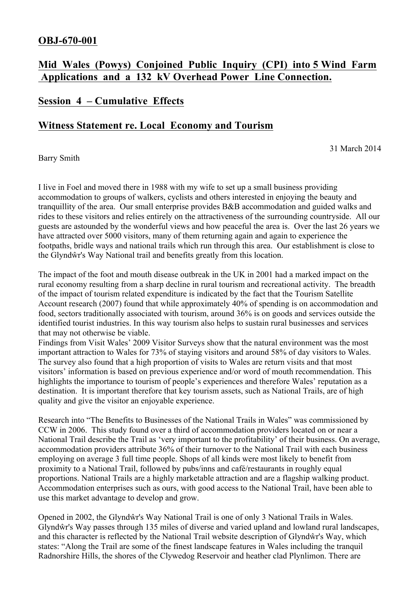### **OBJ-670-001**

# **Mid Wales (Powys) Conjoined Public Inquiry (CPI) into 5 Wind Farm Applications and a 132 kV Overhead Power Line Connection.**

## **Session 4 – Cumulative Effects**

#### **Witness Statement re. Local Economy and Tourism**

31 March 2014

Barry Smith

I live in Foel and moved there in 1988 with my wife to set up a small business providing accommodation to groups of walkers, cyclists and others interested in enjoying the beauty and tranquillity of the area. Our small enterprise provides B&B accommodation and guided walks and rides to these visitors and relies entirely on the attractiveness of the surrounding countryside. All our guests are astounded by the wonderful views and how peaceful the area is. Over the last 26 years we have attracted over 5000 visitors, many of them returning again and again to experience the footpaths, bridle ways and national trails which run through this area. Our establishment is close to the Glyndŵr's Way National trail and benefits greatly from this location.

The impact of the foot and mouth disease outbreak in the UK in 2001 had a marked impact on the rural economy resulting from a sharp decline in rural tourism and recreational activity. The breadth of the impact of tourism related expenditure is indicated by the fact that the Tourism Satellite Account research (2007) found that while approximately 40% of spending is on accommodation and food, sectors traditionally associated with tourism, around 36% is on goods and services outside the identified tourist industries. In this way tourism also helps to sustain rural businesses and services that may not otherwise be viable.

Findings from Visit Wales' 2009 Visitor Surveys show that the natural environment was the most important attraction to Wales for 73% of staying visitors and around 58% of day visitors to Wales. The survey also found that a high proportion of visits to Wales are return visits and that most visitors' information is based on previous experience and/or word of mouth recommendation. This highlights the importance to tourism of people's experiences and therefore Wales' reputation as a destination. It is important therefore that key tourism assets, such as National Trails, are of high quality and give the visitor an enjoyable experience.

Research into "The Benefits to Businesses of the National Trails in Wales" was commissioned by CCW in 2006. This study found over a third of accommodation providers located on or near a National Trail describe the Trail as 'very important to the profitability' of their business. On average, accommodation providers attribute 36% of their turnover to the National Trail with each business employing on average 3 full time people. Shops of all kinds were most likely to benefit from proximity to a National Trail, followed by pubs/inns and café/restaurants in roughly equal proportions. National Trails are a highly marketable attraction and are a flagship walking product. Accommodation enterprises such as ours, with good access to the National Trail, have been able to use this market advantage to develop and grow.

Opened in 2002, the Glyndŵr's Way National Trail is one of only 3 National Trails in Wales. Glyndŵr's Way passes through 135 miles of diverse and varied upland and lowland rural landscapes, and this character is reflected by the National Trail website description of Glyndŵr's Way, which states: "Along the Trail are some of the finest landscape features in Wales including the tranquil Radnorshire Hills, the shores of the Clywedog Reservoir and heather clad Plynlimon. There are